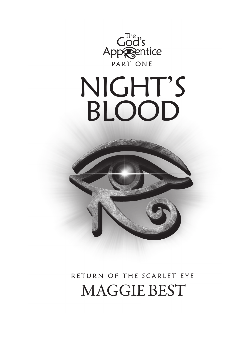

# NIGHT'S BLOOD



RETURN OF THE SCARLET EYE MAGGIE BEST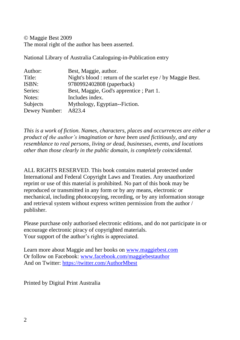© Maggie Best 2009 The moral right of the author has been asserted.

National Library of Australia Cataloguing-in-Publication entry

| Author:       | Best, Maggie, author.                                      |
|---------------|------------------------------------------------------------|
| Title:        | Night's blood: return of the scarlet eye / by Maggie Best. |
| ISBN:         | 9780992402808 (paperback)                                  |
| Series:       | Best, Maggie, God's apprentice ; Part 1.                   |
| Notes:        | Includes index.                                            |
| Subjects      | Mythology, Egyptian--Fiction.                              |
| Dewey Number: | A823.4                                                     |

*This is a work of fiction. Names, characters, places and occurrences are either a product of the author's imagination or have been used fictitiously, and any resemblance to real persons, living or dead, businesses, events, and locations other than those clearly in the public domain, is completely coincidental.* 

ALL RIGHTS RESERVED. This book contains material protected under International and Federal Copyright Laws and Treaties. Any unauthorized reprint or use of this material is prohibited. No part of this book may be reproduced or transmitted in any form or by any means, electronic or mechanical, including photocopying, recording, or by any information storage and retrieval system without express written permission from the author / publisher.

Please purchase only authorised electronic editions, and do not participate in or encourage electronic piracy of copyrighted materials. Your support of the author's rights is appreciated.

Learn more about Maggie and her books on www.maggiebest.com Or follow on Facebook: www.facebook.com/maggiebestauthor And on Twitter: https://twitter.com/AuthorMbest

Printed by Digital Print Australia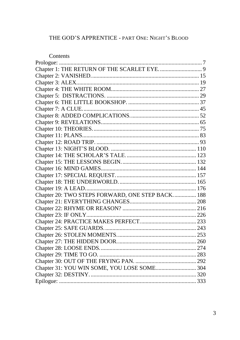## THE GOD'S APPRENTICE - PART ONE: NIGHT'S BLOOD

| Contents                                         |  |
|--------------------------------------------------|--|
|                                                  |  |
|                                                  |  |
|                                                  |  |
|                                                  |  |
|                                                  |  |
|                                                  |  |
|                                                  |  |
|                                                  |  |
|                                                  |  |
|                                                  |  |
|                                                  |  |
|                                                  |  |
|                                                  |  |
|                                                  |  |
|                                                  |  |
|                                                  |  |
|                                                  |  |
|                                                  |  |
|                                                  |  |
|                                                  |  |
| Chapter 20: TWO STEPS FORWARD, ONE STEP BACK 188 |  |
|                                                  |  |
|                                                  |  |
|                                                  |  |
|                                                  |  |
|                                                  |  |
|                                                  |  |
|                                                  |  |
|                                                  |  |
|                                                  |  |
|                                                  |  |
| Chapter 31: YOU WIN SOME, YOU LOSE SOME 304      |  |
|                                                  |  |
|                                                  |  |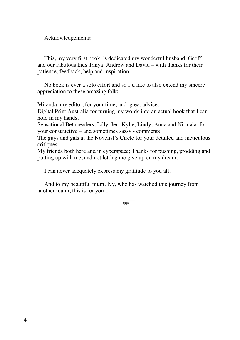Acknowledgements:

This, my very first book, is dedicated my wonderful husband, Geoff and our fabulous kids Tanya, Andrew and David – with thanks for their patience, feedback, help and inspiration.

No book is ever a solo effort and so I'd like to also extend my sincere appreciation to these amazing folk:

Miranda, my editor, for your time, and great advice.

Digital Print Australia for turning my words into an actual book that I can hold in my hands.

Sensational Beta readers, Lilly, Jen, Kylie, Lindy, Anna and Nirmala, for your constructive – and sometimes sassy - comments.

The guys and gals at the Novelist's Circle for your detailed and meticulous critiques.

My friends both here and in cyberspace; Thanks for pushing, prodding and putting up with me, and not letting me give up on my dream.

I can never adequately express my gratitude to you all.

And to my beautiful mum, Ivy, who has watched this journey from another realm, this is for you...

క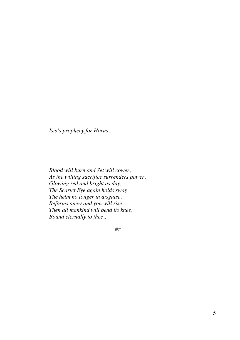*Isis's prophecy for Horus…*

*Blood will burn and Set will cower, As the willing sacrifice surrenders power, Glowing red and bright as day, The Scarlet Eye again holds sway. The helm no longer in disguise, Reforms anew and you will rise. Then all mankind will bend its knee, Bound eternally to thee…*

 $\begin{picture}(20,20) \put(0,0){\line(1,0){10}} \put(15,0){\line(1,0){10}} \put(15,0){\line(1,0){10}} \put(15,0){\line(1,0){10}} \put(15,0){\line(1,0){10}} \put(15,0){\line(1,0){10}} \put(15,0){\line(1,0){10}} \put(15,0){\line(1,0){10}} \put(15,0){\line(1,0){10}} \put(15,0){\line(1,0){10}} \put(15,0){\line(1,0){10}} \put(15,0){\line(1$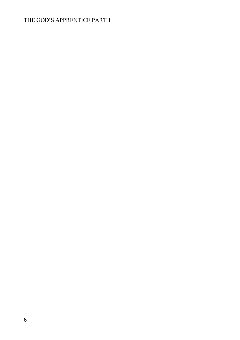## THE GOD'S APPRENTICE PART 1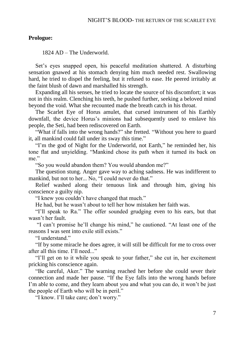### **Prologue:**

1824 AD – The Underworld.

Set's eyes snapped open, his peaceful meditation shattered. A disturbing sensation gnawed at his stomach denying him much needed rest. Swallowing hard, he tried to dispel the feeling, but it refused to ease. He peered irritably at the faint blush of dawn and marshalled his strength.

Expanding all his senses, he tried to locate the source of his discomfort; it was not in this realm. Clenching his teeth, he pushed further, seeking a beloved mind beyond the void. What she recounted made the breath catch in his throat.

The Scarlet Eye of Horus amulet, that cursed instrument of his Earthly downfall, the device Horus's minions had subsequently used to enslave his people, the Seti, had been rediscovered on Earth.

"What if falls into the wrong hands?" she fretted. "Without you here to guard it, all mankind could fall under its sway this time."

"I'm the god of Night for the Underworld, not Earth," he reminded her, his tone flat and unyielding. "Mankind chose its path when it turned its back on me"

"So you would abandon them? You would abandon me?"

The question stung. Anger gave way to aching sadness. He was indifferent to mankind, but not to her... No, "I could never do that."

Relief washed along their tenuous link and through him, giving his conscience a guilty nip.

"I knew you couldn't have changed that much."

He had, but he wasn't about to tell her how mistaken her faith was.

"I'll speak to Ra." The offer sounded grudging even to his ears, but that wasn't her fault.

"I can't promise he'll change his mind," he cautioned. "At least one of the reasons I was sent into exile still exists."

"I understand."

"If by some miracle he does agree, it will still be difficult for me to cross over after all this time. I'll need..."

"I'll get on to it while you speak to your father," she cut in, her excitement pricking his conscience again.

"Be careful, Aker." The warning reached her before she could sever their connection and made her pause. "If the Eye falls into the wrong hands before I'm able to come, and they learn about you and what you can do, it won't be just the people of Earth who will be in peril."

"I know. I'll take care; don't worry."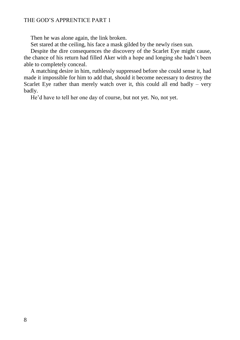Then he was alone again, the link broken.

Set stared at the ceiling, his face a mask gilded by the newly risen sun.

Despite the dire consequences the discovery of the Scarlet Eye might cause, the chance of his return had filled Aker with a hope and longing she hadn't been able to completely conceal.

A matching desire in him, ruthlessly suppressed before she could sense it, had made it impossible for him to add that, should it become necessary to destroy the Scarlet Eye rather than merely watch over it, this could all end badly – very badly.

He'd have to tell her one day of course, but not yet. No, not yet.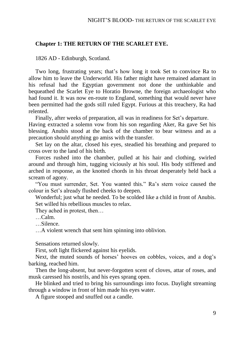#### **Chapter 1: THE RETURN OF THE SCARLET EYE.**

1826 AD - Edinburgh, Scotland.

Two long, frustrating years; that's how long it took Set to convince Ra to allow him to leave the Underworld. His father might have remained adamant in his refusal had the Egyptian government not done the unthinkable and bequeathed the Scarlet Eye to Horatio Browne, the foreign archaeologist who had found it. It was now en-route to England, something that would never have been permitted had the gods still ruled Egypt. Furious at this treachery, Ra had relented.

Finally, after weeks of preparation, all was in readiness for Set's departure.

Having extracted a solemn vow from his son regarding Aker, Ra gave Set his blessing. Anubis stood at the back of the chamber to bear witness and as a precaution should anything go amiss with the transfer.

Set lay on the altar, closed his eyes, steadied his breathing and prepared to cross over to the land of his birth.

Forces rushed into the chamber, pulled at his hair and clothing, swirled around and through him, tugging viciously at his soul. His body stiffened and arched in response, as the knotted chords in his throat desperately held back a scream of agony.

"You must surrender, Set. You wanted this." Ra's stern voice caused the colour in Set's already flushed cheeks to deepen.

Wonderful; just what he needed. To be scolded like a child in front of Anubis. Set willed his rebellious muscles to relax.

They ached in protest, then…

…Calm.

…Silence.

…A violent wrench that sent him spinning into oblivion.

Sensations returned slowly.

First, soft light flickered against his eyelids.

Next, the muted sounds of horses' hooves on cobbles, voices, and a dog's barking, reached him.

Then the long-absent, but never-forgotten scent of cloves, attar of roses, and musk caressed his nostrils, and his eyes sprang open.

He blinked and tried to bring his surroundings into focus. Daylight streaming through a window in front of him made his eyes water.

A figure stooped and snuffed out a candle.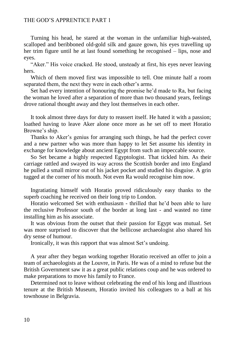Turning his head, he stared at the woman in the unfamiliar high-waisted, scalloped and beribboned old-gold silk and gauze gown, his eyes travelling up her trim figure until he at last found something he recognised – lips, nose and eyes.

"Aker." His voice cracked. He stood, unsteady at first, his eyes never leaving hers.

Which of them moved first was impossible to tell. One minute half a room separated them, the next they were in each other's arms.

Set had every intention of honouring the promise he'd made to Ra, but facing the woman he loved after a separation of more than two thousand years, feelings drove rational thought away and they lost themselves in each other.

It took almost three days for duty to reassert itself. He hated it with a passion; loathed having to leave Aker alone once more as he set off to meet Horatio Browne's ship.

Thanks to Aker's genius for arranging such things, he had the perfect cover and a new partner who was more than happy to let Set assume his identity in exchange for knowledge about ancient Egypt from such an impeccable source.

So Set became a highly respected Egyptologist. That tickled him. As their carriage rattled and swayed its way across the Scottish border and into England he pulled a small mirror out of his jacket pocket and studied his disguise. A grin tugged at the corner of his mouth. Not even Ra would recognise him now.

Ingratiating himself with Horatio proved ridiculously easy thanks to the superb coaching he received on their long trip to London.

Horatio welcomed Set with enthusiasm - thrilled that he'd been able to lure the reclusive Professor south of the border at long last - and wasted no time installing him as his associate.

It was obvious from the outset that their passion for Egypt was mutual. Set was more surprised to discover that the bellicose archaeologist also shared his dry sense of humour.

Ironically, it was this rapport that was almost Set's undoing.

A year after they began working together Horatio received an offer to join a team of archaeologists at the Louvre, in Paris. He was of a mind to refuse but the British Government saw it as a great public relations coup and he was ordered to make preparations to move his family to France.

Determined not to leave without celebrating the end of his long and illustrious tenure at the British Museum, Horatio invited his colleagues to a ball at his townhouse in Belgravia.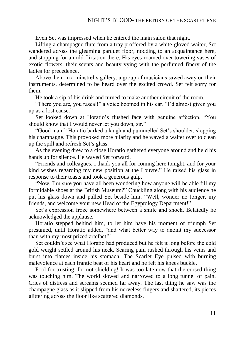Even Set was impressed when he entered the main salon that night.

Lifting a champagne flute from a tray proffered by a white-gloved waiter, Set wandered across the gleaming parquet floor, nodding to an acquaintance here, and stopping for a mild flirtation there. His eyes roamed over towering vases of exotic flowers, their scents and beauty vying with the perfumed finery of the ladies for precedence.

Above them in a minstrel's gallery, a group of musicians sawed away on their instruments, determined to be heard over the excited crowd. Set felt sorry for them.

He took a sip of his drink and turned to make another circuit of the room.

"There you are, you rascal!" a voice boomed in his ear. "I'd almost given you up as a lost cause."

Set looked down at Horatio's flushed face with genuine affection. "You should know that I would never let you down, sir."

"Good man!" Horatio barked a laugh and pummelled Set's shoulder, slopping his champagne. This provoked more hilarity and he waved a waiter over to clean up the spill and refresh Set's glass.

As the evening drew to a close Horatio gathered everyone around and held his hands up for silence. He waved Set forward.

"Friends and colleagues, I thank you all for coming here tonight, and for your kind wishes regarding my new position at the Louvre." He raised his glass in response to their toasts and took a generous gulp.

"Now, I'm sure you have all been wondering how anyone will be able fill my formidable shoes at the British Museum?" Chuckling along with his audience he put his glass down and pulled Set beside him. "Well, wonder no longer, my friends, and welcome your new Head of the Egyptology Department!"

Set's expression froze somewhere between a smile and shock. Belatedly he acknowledged the applause.

Horatio stepped behind him, to let him have his moment of triumph Set presumed, until Horatio added, "and what better way to anoint my successor than with my most prized artefact!"

Set couldn't see what Horatio had produced but he felt it long before the cold gold weight settled around his neck. Searing pain rushed through his veins and burst into flames inside his stomach. The Scarlet Eye pulsed with burning malevolence at each frantic beat of his heart and he felt his knees buckle.

Fool for trusting; for not shielding! It was too late now that the cursed thing was touching him. The world slowed and narrowed to a long tunnel of pain. Cries of distress and screams seemed far away. The last thing he saw was the champagne glass as it slipped from his nerveless fingers and shattered, its pieces glittering across the floor like scattered diamonds.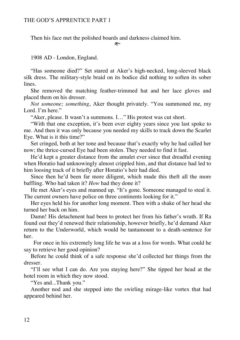Then his face met the polished boards and darkness claimed him.

ଛ≂

1908 AD - London, England.

"Has someone died?" Set stared at Aker's high-necked, long-sleeved black silk dress. The military-style braid on its bodice did nothing to soften its sober lines.

She removed the matching feather-trimmed hat and her lace gloves and placed them on his dresser.

*Not someone; something*, Aker thought privately. "You summoned me, my Lord. I'm here."

"Aker, please. It wasn't a summons. I…" His protest was cut short.

"With that one exception, it's been over eighty years since you last spoke to me. And then it was only because you needed my skills to track down the Scarlet Eye. What is it this time?"

Set cringed, both at her tone and because that's exactly why he had called her now; the thrice-cursed Eye had been stolen. They needed to find it fast.

He'd kept a greater distance from the amulet ever since that dreadful evening when Horatio had unknowingly almost crippled him, and that distance had led to him loosing track of it briefly after Horatio's heir had died.

Since then he'd been far more diligent, which made this theft all the more baffling. Who had taken it? *How* had they done it?

He met Aker's eyes and manned up. "It's gone. Someone managed to steal it. The current owners have police on three continents looking for it."

Her eyes held his for another long moment. Then with a shake of her head she turned her back on him.

Damn! His detachment had been to protect her from his father's wrath. If Ra found out they'd renewed their relationship, however briefly, he'd demand Aker return to the Underworld, which would be tantamount to a death-sentence for her.

 For once in his extremely long life he was at a loss for words. What could he say to retrieve her good opinion?

Before he could think of a safe response she'd collected her things from the dresser.

"I'll see what I can do. Are you staying here?" She tipped her head at the hotel room in which they now stood.

"Yes and...Thank you."

Another nod and she stepped into the swirling mirage-like vortex that had appeared behind her.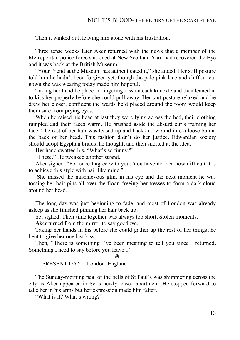Then it winked out, leaving him alone with his frustration.

Three tense weeks later Aker returned with the news that a member of the Metropolitan police force stationed at New Scotland Yard had recovered the Eye and it was back at the British Museum.

"Your friend at the Museum has authenticated it," she added. Her stiff posture told him he hadn't been forgiven yet, though the pale pink lace and chiffon teagown she was wearing today made him hopeful.

Taking her hand he placed a lingering kiss on each knuckle and then leaned in to kiss her properly before she could pull away. Her taut posture relaxed and he drew her closer, confident the wards he'd placed around the room would keep them safe from prying eyes.

When he raised his head at last they were lying across the bed, their clothing rumpled and their faces warm. He brushed aside the absurd curls framing her face. The rest of her hair was teased up and back and wound into a loose bun at the back of her head. This fashion didn't do her justice. Edwardian society should adopt Egyptian braids, he thought, and then snorted at the idea.

Her hand swatted his. "What's so funny?"

"These." He tweaked another strand.

Aker sighed. "For once I agree with you. You have no idea how difficult it is to achieve this style with hair like mine."

She missed the mischievous glint in his eye and the next moment he was tossing her hair pins all over the floor, freeing her tresses to form a dark cloud around her head.

The long day was just beginning to fade, and most of London was already asleep as she finished pinning her hair back up.

Set sighed. Their time together was always too short. Stolen moments.

Aker turned from the mirror to say goodbye.

Taking her hands in his before she could gather up the rest of her things, he bent to give her one last kiss.

Then, "There is something I've been meaning to tell you since I returned. Something I need to say before you leave..."

ଛ

PRESENT DAY – London, England.

The Sunday-morning peal of the bells of St Paul's was shimmering across the city as Aker appeared in Set's newly-leased apartment. He stepped forward to take her in his arms but her expression made him falter.

"What is it? What's wrong?"